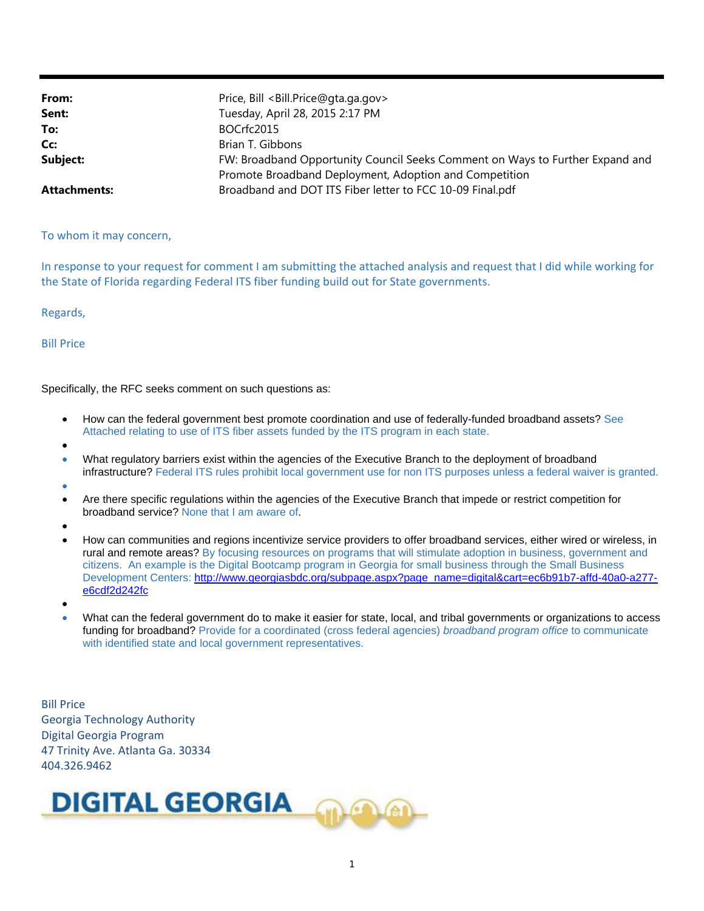| From:               | Price, Bill <bill.price@gta.ga.gov></bill.price@gta.ga.gov>                   |
|---------------------|-------------------------------------------------------------------------------|
| Sent:               | Tuesday, April 28, 2015 2:17 PM                                               |
| To:                 | BOCrfc2015                                                                    |
| Cc:                 | Brian T. Gibbons                                                              |
| Subject:            | FW: Broadband Opportunity Council Seeks Comment on Ways to Further Expand and |
|                     | Promote Broadband Deployment, Adoption and Competition                        |
| <b>Attachments:</b> | Broadband and DOT ITS Fiber letter to FCC 10-09 Final.pdf                     |

To whom it may concern,

In response to your request for comment I am submitting the attached analysis and request that I did while working for the State of Florida regarding Federal ITS fiber funding build out for State governments.

Regards,

Bill Price

Specifically, the RFC seeks comment on such questions as:

- How can the federal government best promote coordination and use of federally-funded broadband assets? See Attached relating to use of ITS fiber assets funded by the ITS program in each state.
- $\bullet$
- What regulatory barriers exist within the agencies of the Executive Branch to the deployment of broadband infrastructure? Federal ITS rules prohibit local government use for non ITS purposes unless a federal waiver is granted.
- $\bullet$
- Are there specific regulations within the agencies of the Executive Branch that impede or restrict competition for broadband service? None that I am aware of
- $\bullet$
- How can communities and regions incentivize service providers to offer broadband services, either wired or wireless, in rural and remote areas? By focusing resources on programs that will stimulate adoption in business, government and citizens. An example is the Digital Bootcamp program in Georgia for small business through the Small Business Development Centers: http://www.georgiasbdc.org/subpage.aspx?page\_name=digital&cart=ec6b91b7-affd-40a0-a277 e6cdf2d242fc
- $\bullet$
- What can the federal government do to make it easier for state, local, and tribal governments or organizations to access funding for broadband? Provide for a coordinated (cross federal agencies) *broadband program office* to communicate with identified state and local government representatives.

Bill Price Georgia Technology Authority Digital Georgia Program 47 Trinity Ave. Atlanta Ga. 30334 404.326.9462

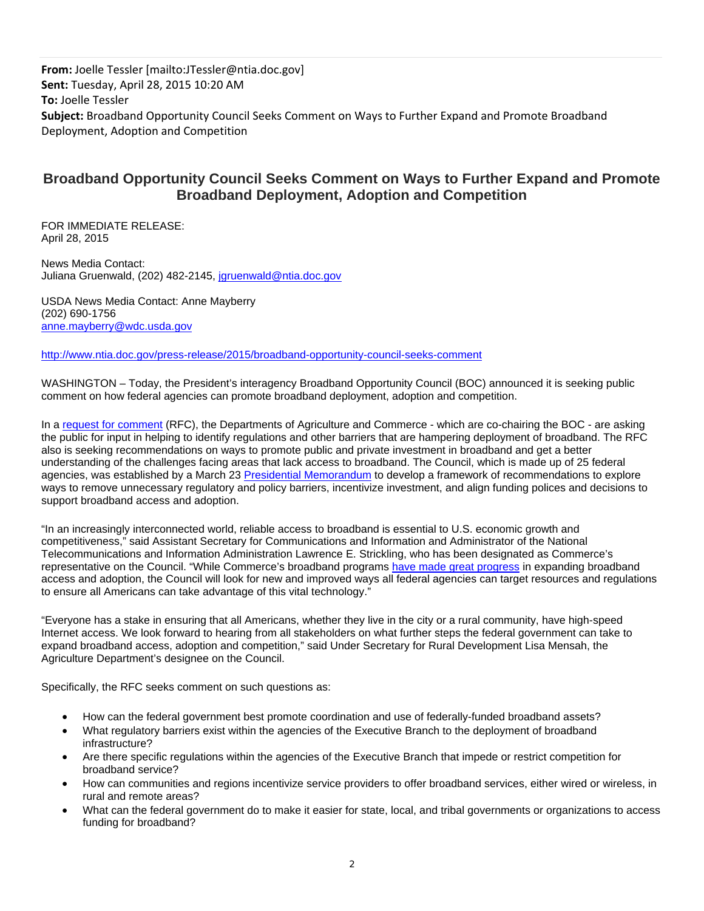**From:** Joelle Tessler [mailto:JTessler@ntia.doc.gov] **Sent:** Tuesday, April 28, 2015 10:20 AM **To:** Joelle Tessler **Subject:** Broadband Opportunity Council Seeks Comment on Ways to Further Expand and Promote Broadband Deployment, Adoption and Competition

# **Broadband Opportunity Council Seeks Comment on Ways to Further Expand and Promote Broadband Deployment, Adoption and Competition**

FOR IMMEDIATE RELEASE: April 28, 2015

News Media Contact: Juliana Gruenwald, (202) 482-2145, jgruenwald@ntia.doc.gov

USDA News Media Contact: Anne Mayberry (202) 690-1756 anne.mayberry@wdc.usda.gov

http://www.ntia.doc.gov/press-release/2015/broadband-opportunity-council-seeks-comment

WASHINGTON – Today, the President's interagency Broadband Opportunity Council (BOC) announced it is seeking public comment on how federal agencies can promote broadband deployment, adoption and competition.

In a request for comment (RFC), the Departments of Agriculture and Commerce - which are co-chairing the BOC - are asking the public for input in helping to identify regulations and other barriers that are hampering deployment of broadband. The RFC also is seeking recommendations on ways to promote public and private investment in broadband and get a better understanding of the challenges facing areas that lack access to broadband. The Council, which is made up of 25 federal agencies, was established by a March 23 Presidential Memorandum to develop a framework of recommendations to explore ways to remove unnecessary regulatory and policy barriers, incentivize investment, and align funding polices and decisions to support broadband access and adoption.

"In an increasingly interconnected world, reliable access to broadband is essential to U.S. economic growth and competitiveness," said Assistant Secretary for Communications and Information and Administrator of the National Telecommunications and Information Administration Lawrence E. Strickling, who has been designated as Commerce's representative on the Council. "While Commerce's broadband programs have made great progress in expanding broadband access and adoption, the Council will look for new and improved ways all federal agencies can target resources and regulations to ensure all Americans can take advantage of this vital technology."

"Everyone has a stake in ensuring that all Americans, whether they live in the city or a rural community, have high-speed Internet access. We look forward to hearing from all stakeholders on what further steps the federal government can take to expand broadband access, adoption and competition," said Under Secretary for Rural Development Lisa Mensah, the Agriculture Department's designee on the Council.

Specifically, the RFC seeks comment on such questions as:

- How can the federal government best promote coordination and use of federally-funded broadband assets?
- What regulatory barriers exist within the agencies of the Executive Branch to the deployment of broadband infrastructure?
- Are there specific regulations within the agencies of the Executive Branch that impede or restrict competition for broadband service?
- How can communities and regions incentivize service providers to offer broadband services, either wired or wireless, in rural and remote areas?
- What can the federal government do to make it easier for state, local, and tribal governments or organizations to access funding for broadband?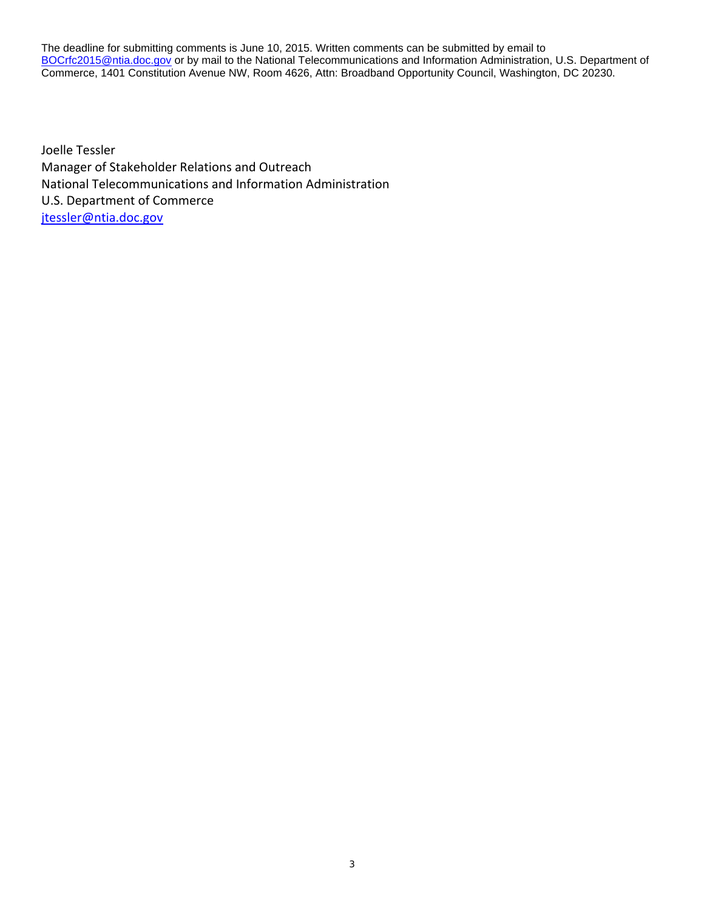The deadline for submitting comments is June 10, 2015. Written comments can be submitted by email to BOCrfc2015@ntia.doc.gov or by mail to the National Telecommunications and Information Administration, U.S. Department of Commerce, 1401 Constitution Avenue NW, Room 4626, Attn: Broadband Opportunity Council, Washington, DC 20230.

Joelle Tessler Manager of Stakeholder Relations and Outreach National Telecommunications and Information Administration U.S. Department of Commerce jtessler@ntia.doc.gov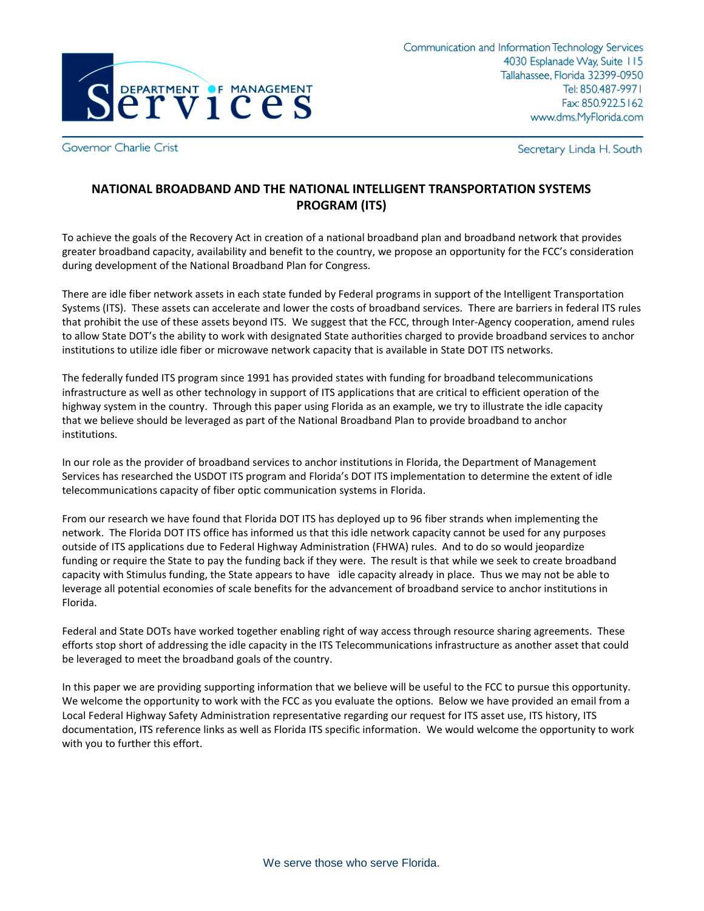

Governor Charlie Crist

Secretary Linda H. South

# **NATIONAL BROADBAND AND THE NATIONAL INTELLIGENT TRANSPORTATION SYSTEMS PROGRAM (ITS)**

To achieve the goals of the Recovery Act in creation of a national broadband plan and broadband network that provides greater broadband capacity, availability and benefit to the country, we propose an opportunity for the FCC's consideration during development of the National Broadband Plan for Congress.

There are idle fiber network assets in each state funded by Federal programs in support of the Intelligent Transportation Systems (ITS). These assets can accelerate and lower the costs of broadband services. There are barriers in federal ITS rules that prohibit the use of these assets beyond ITS. We suggest that the FCC, through Inter-Agency cooperation, amend rules to allow State DOT's the ability to work with designated State authorities charged to provide broadband services to anchor institutions to utilize idle fiber or microwave network capacity that is available in State DOT ITS networks.

The federally funded ITS program since 1991 has provided states with funding for broadband telecommunications infrastructure as well as other technology in support of ITS applications that are critical to efficient operation of the highway system in the country. Through this paper using Florida as an example, we try to illustrate the idle capacity that we believe should be leveraged as part of the National Broadband Plan to provide broadband to anchor institutions.

In our role as the provider of broadband services to anchor institutions in Florida, the Department of Management Services has researched the USDOT ITS program and Florida's DOT ITS implementation to determine the extent of idle telecommunications capacity of fiber optic communication systems in Florida.

From our research we have found that Florida DOT ITS has deployed up to 96 fiber strands when implementing the network. The Florida DOT ITS office has informed us that this idle network capacity cannot be used for any purposes outside of ITS applications due to Federal Highway Administration (FHWA) rules. And to do so would jeopardize funding or require the State to pay the funding back if they were. The result is that while we seek to create broadband capacity with Stimulus funding, the State appears to have idle capacity already in place. Thus we may not be able to leverage all potential economies of scale benefits for the advancement of broadband service to anchor institutions in Florida.

Federal and State DOTs have worked together enabling right of way access through resource sharing agreements. These efforts stop short of addressing the idle capacity in the ITS Telecommunications infrastructure as another asset that could be leveraged to meet the broadband goals of the country.

In this paper we are providing supporting information that we believe will be useful to the FCC to pursue this opportunity. We welcome the opportunity to work with the FCC as you evaluate the options. Below we have provided an email from a Local Federal Highway Safety Administration representative regarding our request for ITS asset use, ITS history, ITS documentation, ITS reference links as well as Florida ITS specific information. We would welcome the opportunity to work with you to further this effort.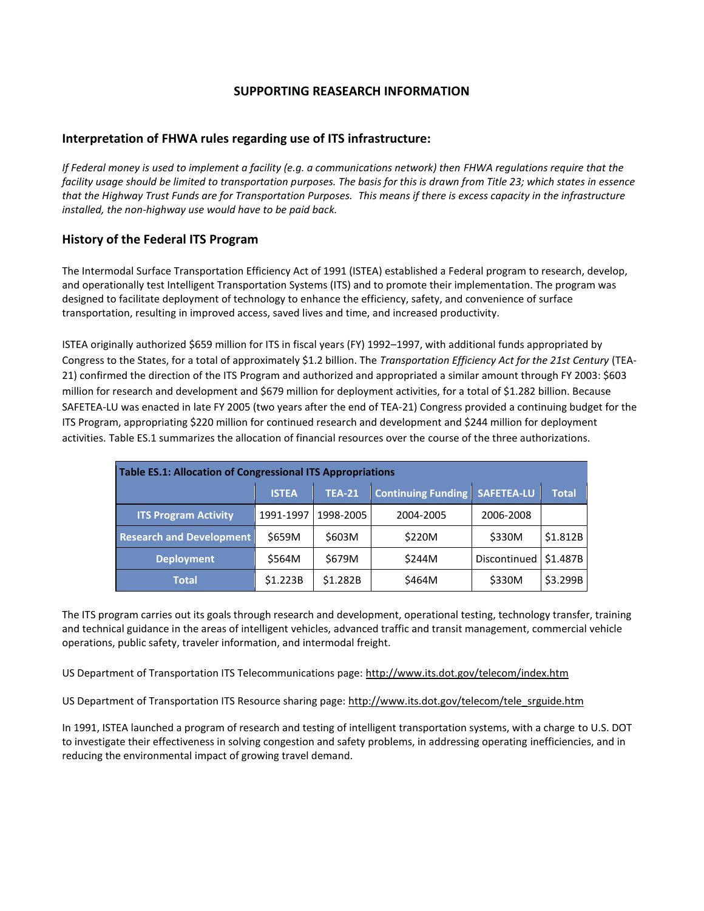## **SUPPORTING REASEARCH INFORMATION**

## **Interpretation of FHWA rules regarding use of ITS infrastructure:**

*If Federal money is used to implement a facility (e.g. a communications network) then FHWA regulations require that the facility usage should be limited to transportation purposes. The basis for this is drawn from Title 23; which states in essence that the Highway Trust Funds are for Transportation Purposes. This means if there is excess capacity in the infrastructure installed, the non-highway use would have to be paid back.* 

## **History of the Federal ITS Program**

The Intermodal Surface Transportation Efficiency Act of 1991 (ISTEA) established a Federal program to research, develop, and operationally test Intelligent Transportation Systems (ITS) and to promote their implementation. The program was designed to facilitate deployment of technology to enhance the efficiency, safety, and convenience of surface transportation, resulting in improved access, saved lives and time, and increased productivity.

ISTEA originally authorized \$659 million for ITS in fiscal years (FY) 1992–1997, with additional funds appropriated by Congress to the States, for a total of approximately \$1.2 billion. The *Transportation Efficiency Act for the 21st Century* (TEA-21) confirmed the direction of the ITS Program and authorized and appropriated a similar amount through FY 2003: \$603 million for research and development and \$679 million for deployment activities, for a total of \$1.282 billion. Because SAFETEA-LU was enacted in late FY 2005 (two years after the end of TEA-21) Congress provided a continuing budget for the ITS Program, appropriating \$220 million for continued research and development and \$244 million for deployment activities. Table ES.1 summarizes the allocation of financial resources over the course of the three authorizations.

| Table ES.1: Allocation of Congressional ITS Appropriations |              |               |                                      |              |              |  |
|------------------------------------------------------------|--------------|---------------|--------------------------------------|--------------|--------------|--|
|                                                            | <b>ISTEA</b> | <b>TEA-21</b> | <b>Continuing Funding SAFETEA-LU</b> |              | <b>Total</b> |  |
| <b>ITS Program Activity</b>                                | 1991-1997    | 1998-2005     | 2004-2005                            | 2006-2008    |              |  |
| <b>Research and Development</b>                            | \$659M       | \$603M        | \$220M                               | \$330M       | \$1.812B     |  |
| <b>Deployment</b>                                          | \$564M       | \$679M        | \$244M                               | Discontinued | \$1.487B     |  |
| Total                                                      | \$1.223B     | \$1.282B      | \$464M                               | \$330M       | \$3.299B     |  |

The ITS program carries out its goals through research and development, operational testing, technology transfer, training and technical guidance in the areas of intelligent vehicles, advanced traffic and transit management, commercial vehicle operations, public safety, traveler information, and intermodal freight.

US Department of Transportation ITS Telecommunications page:<http://www.its.dot.gov/telecom/index.htm>

US Department of Transportation ITS Resource sharing page: [http://www.its.dot.gov/telecom/tele\\_srguide.htm](http://www.its.dot.gov/telecom/tele_srguide.htm)

In 1991, ISTEA launched a program of research and testing of intelligent transportation systems, with a charge to U.S. DOT to investigate their effectiveness in solving congestion and safety problems, in addressing operating inefficiencies, and in reducing the environmental impact of growing travel demand.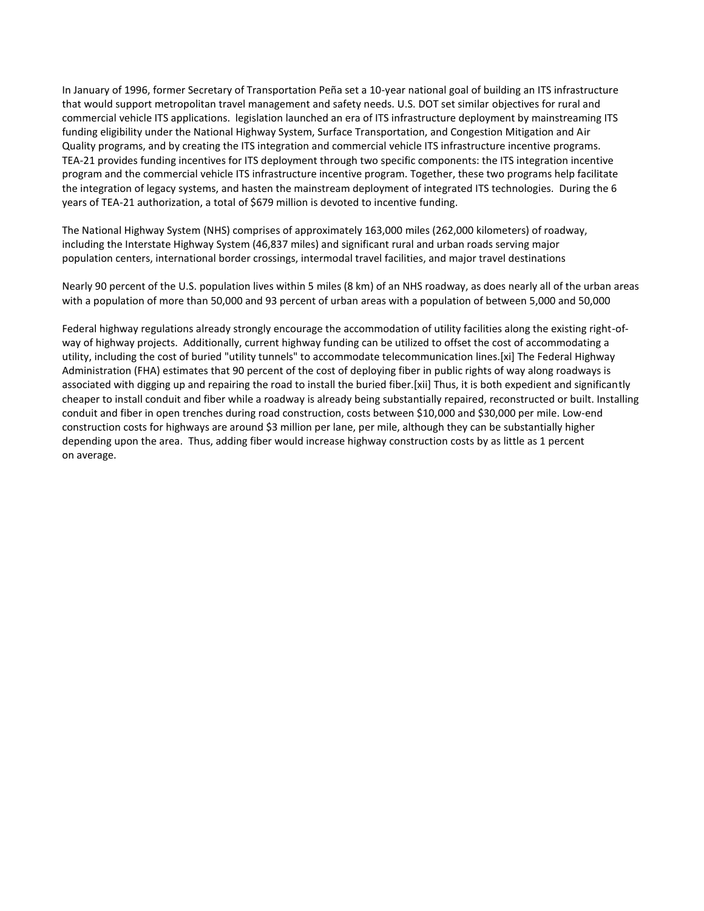In January of 1996, former Secretary of Transportation Peña set a 10-year national goal of building an ITS infrastructure that would support metropolitan travel management and safety needs. U.S. DOT set similar objectives for rural and commercial vehicle ITS applications. legislation launched an era of ITS infrastructure deployment by mainstreaming ITS funding eligibility under the National Highway System, Surface Transportation, and Congestion Mitigation and Air Quality programs, and by creating the ITS integration and commercial vehicle ITS infrastructure incentive programs. TEA-21 provides funding incentives for ITS deployment through two specific components: the ITS integration incentive program and the commercial vehicle ITS infrastructure incentive program. Together, these two programs help facilitate the integration of legacy systems, and hasten the mainstream deployment of integrated ITS technologies. During the 6 years of TEA-21 authorization, a total of \$679 million is devoted to incentive funding.

The National Highway System (NHS) comprises of approximately 163,000 miles (262,000 kilometers) of roadway, including the Interstate Highway System (46,837 miles) and significant rural and urban roads serving major population centers, international border crossings, intermodal travel facilities, and major travel destinations

Nearly 90 percent of the U.S. population lives within 5 miles (8 km) of an NHS roadway, as does nearly all of the urban areas with a population of more than 50,000 and 93 percent of urban areas with a population of between 5,000 and 50,000

Federal highway regulations already strongly encourage the accommodation of utility facilities along the existing right-ofway of highway projects. Additionally, current highway funding can be utilized to offset the cost of accommodating a utility, including the cost of buried "utility tunnels" to accommodate telecommunication lines.[xi] The Federal Highway Administration (FHA) estimates that 90 percent of the cost of deploying fiber in public rights of way along roadways is associated with digging up and repairing the road to install the buried fiber.[xii] Thus, it is both expedient and significantly cheaper to install conduit and fiber while a roadway is already being substantially repaired, reconstructed or built. Installing conduit and fiber in open trenches during road construction, costs between \$10,000 and \$30,000 per mile. Low-end construction costs for highways are around \$3 million per lane, per mile, although they can be substantially higher depending upon the area. Thus, adding fiber would increase highway construction costs by as little as 1 percent on average.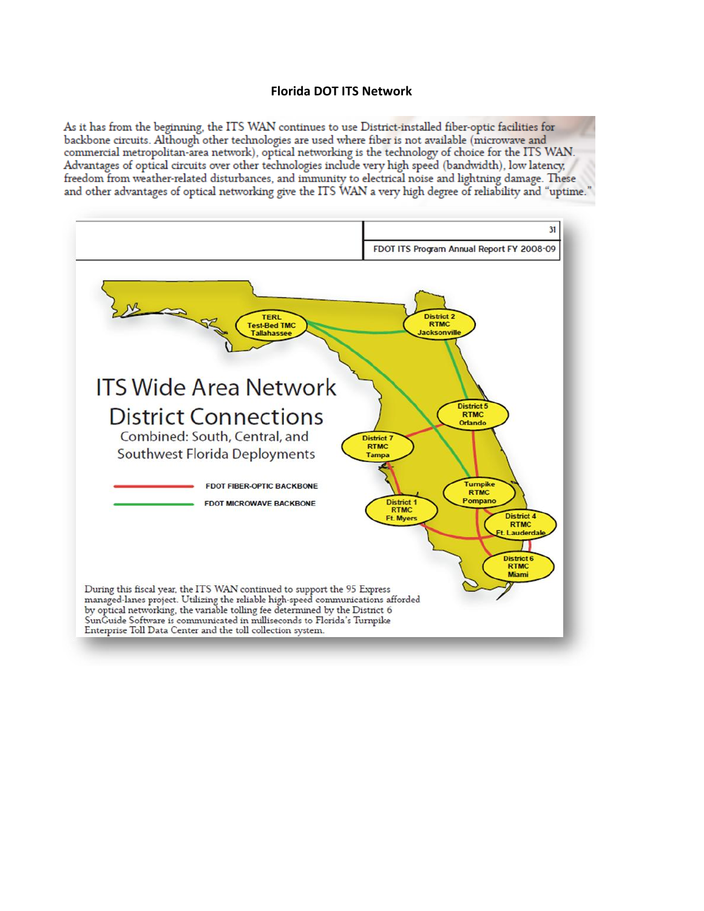#### **Florida DOT ITS Network**

As it has from the beginning, the ITS WAN continues to use District-installed fiber-optic facilities for backbone circuits. Although other technologies are used where fiber is not available (microwave and commercial metropolitan-area network), optical networking is the technology of choice for the ITS WAN. Advantages of optical circuits over other technologies include very high speed (bandwidth), low latency, freedom from weather-related disturbances, and immunity to electrical noise and lightning damage. These and other advantages of optical networking give the ITS WAN a very high degree of reliability and "uptime."

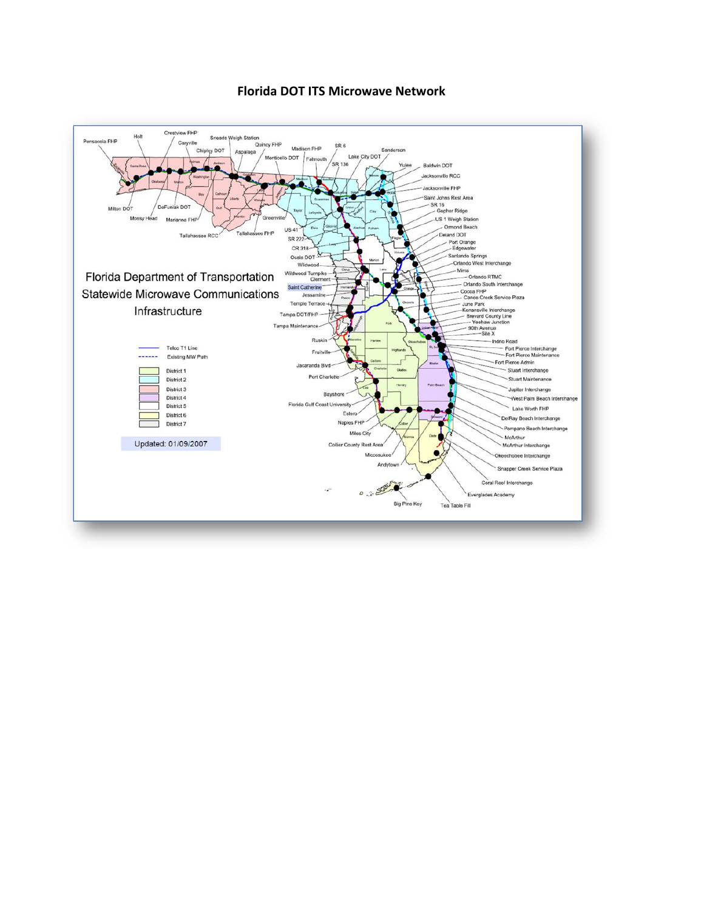

#### **Florida DOT ITS Microwave Network**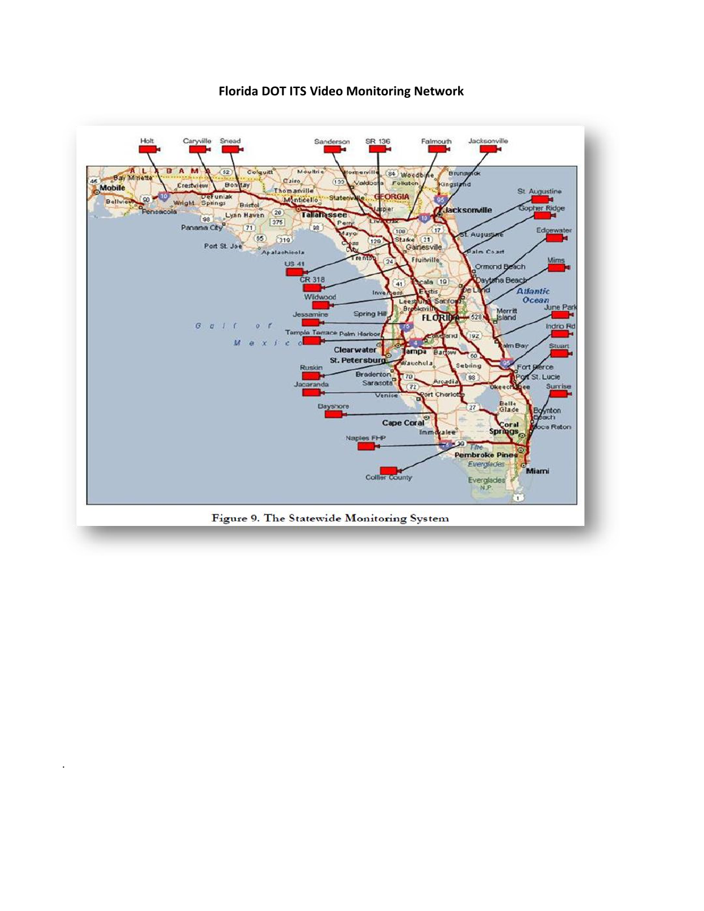

.

**Florida DOT ITS Video Monitoring Network**